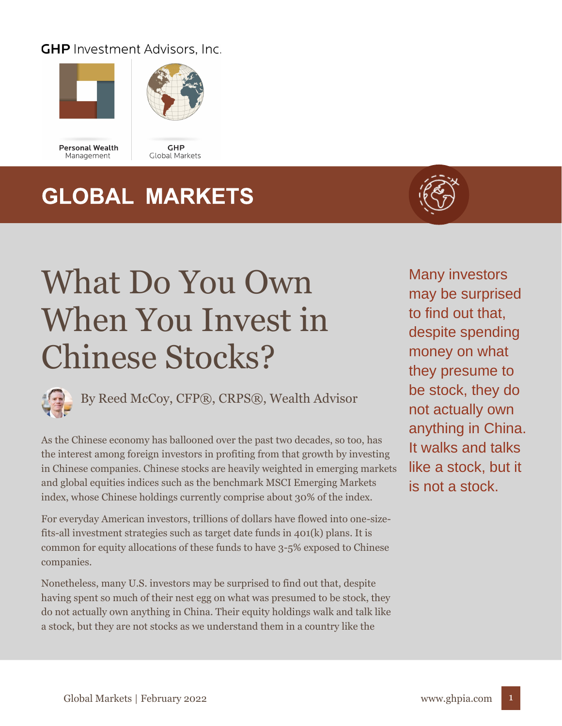#### **GHP** Investment Advisors, Inc.





**Personal Wealth** Management

GHP Global Markets

## **GLOBAL MARKETS**



# What Do You Own When You Invest in Chinese Stocks?



As the Chinese economy has ballooned over the past two decades, so too, has the interest among foreign investors in profiting from that growth by investing in Chinese companies. Chinese stocks are heavily weighted in emerging markets and global equities indices such as the benchmark MSCI Emerging Markets index, whose Chinese holdings currently comprise about 30% of the index.

For everyday American investors, trillions of dollars have flowed into one-sizefits-all investment strategies such as target date funds in 401(k) plans. It is common for equity allocations of these funds to have 3-5% exposed to Chinese companies.

Nonetheless, many U.S. investors may be surprised to find out that, despite having spent so much of their nest egg on what was presumed to be stock, they do not actually own anything in China. Their equity holdings walk and talk like a stock, but they are not stocks as we understand them in a country like the

Many investors may be surprised to find out that, despite spending money on what they presume to be stock, they do not actually own anything in China. It walks and talks like a stock, but it is not a stock.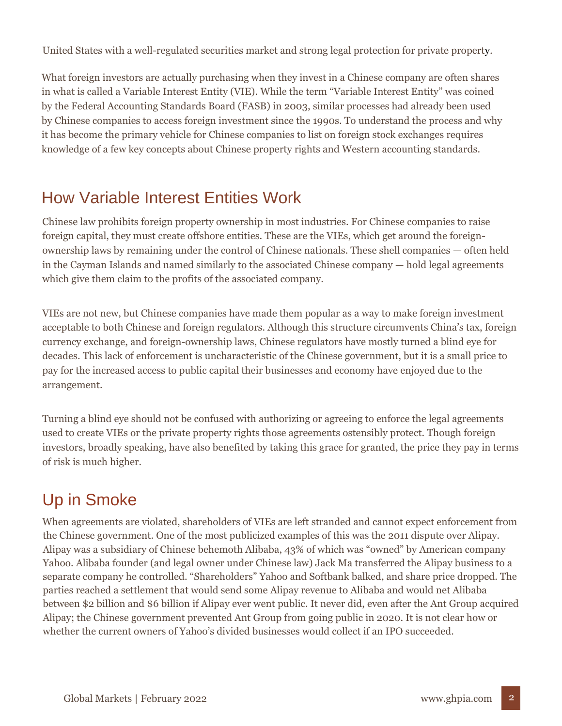United States with a well-regulated securities market and strong legal protection for private property.

What foreign investors are actually purchasing when they invest in a Chinese company are often shares in what is called a Variable Interest Entity (VIE). While the term "Variable Interest Entity" was coined by the Federal Accounting Standards Board (FASB) in 2003, similar processes had already been used by Chinese companies to access foreign investment since the 1990s. To understand the process and why it has become the primary vehicle for Chinese companies to list on foreign stock exchanges requires knowledge of a few key concepts about Chinese property rights and Western accounting standards.

#### How Variable Interest Entities Work

Chinese law prohibits foreign property ownership in most industries. For Chinese companies to raise foreign capital, they must create offshore entities. These are the VIEs, which get around the foreignownership laws by remaining under the control of Chinese nationals. These shell companies — often held in the Cayman Islands and named similarly to the associated Chinese company — hold legal agreements which give them claim to the profits of the associated company.

VIEs are not new, but Chinese companies have made them popular as a way to make foreign investment acceptable to both Chinese and foreign regulators. Although this structure circumvents China's tax, foreign currency exchange, and foreign-ownership laws, Chinese regulators have mostly turned a blind eye for decades. This lack of enforcement is uncharacteristic of the Chinese government, but it is a small price to pay for the increased access to public capital their businesses and economy have enjoyed due to the arrangement.

Turning a blind eye should not be confused with authorizing or agreeing to enforce the legal agreements used to create VIEs or the private property rights those agreements ostensibly protect. Though foreign investors, broadly speaking, have also benefited by taking this grace for granted, the price they pay in terms of risk is much higher.

### Up in Smoke

When agreements are violated, shareholders of VIEs are left stranded and cannot expect enforcement from the Chinese government. One of the most publicized examples of this was the 2011 dispute over Alipay. Alipay was a subsidiary of Chinese behemoth Alibaba, 43% of which was "owned" by American company Yahoo. Alibaba founder (and legal owner under Chinese law) Jack Ma transferred the Alipay business to a separate company he controlled. "Shareholders" Yahoo and Softbank balked, and share price dropped. The parties reached a settlement that would send some Alipay revenue to Alibaba and would net Alibaba between \$2 billion and \$6 billion if Alipay ever went public. It never did, even after the Ant Group acquired Alipay; the Chinese government prevented Ant Group from going public in 2020. It is not clear how or whether the current owners of Yahoo's divided businesses would collect if an IPO succeeded.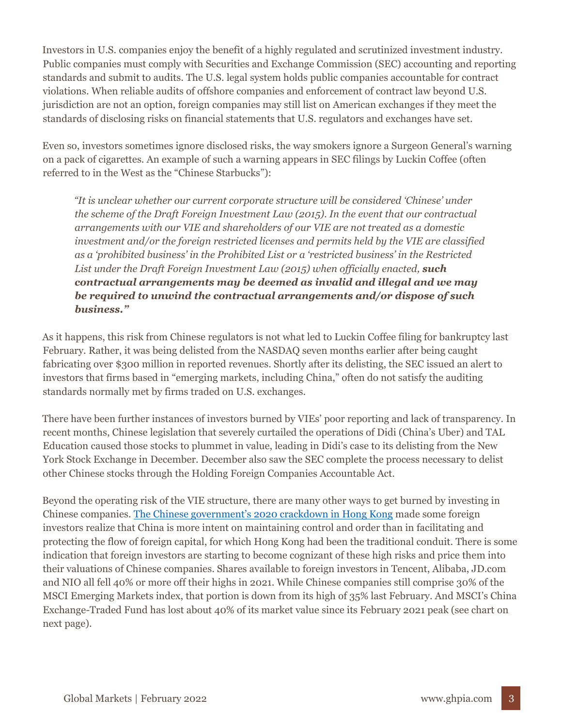Investors in U.S. companies enjoy the benefit of a highly regulated and scrutinized investment industry. Public companies must comply with Securities and Exchange Commission (SEC) accounting and reporting standards and submit to audits. The U.S. legal system holds public companies accountable for contract violations. When reliable audits of offshore companies and enforcement of contract law beyond U.S. jurisdiction are not an option, foreign companies may still list on American exchanges if they meet the standards of disclosing risks on financial statements that U.S. regulators and exchanges have set.

Even so, investors sometimes ignore disclosed risks, the way smokers ignore a Surgeon General's warning on a pack of cigarettes. An example of such a warning appears in SEC filings by Luckin Coffee (often referred to in the West as the "Chinese Starbucks"):

*"It is unclear whether our current corporate structure will be considered 'Chinese' under the scheme of the Draft Foreign Investment Law (2015). In the event that our contractual arrangements with our VIE and shareholders of our VIE are not treated as a domestic investment and/or the foreign restricted licenses and permits held by the VIE are classified as a 'prohibited business' in the Prohibited List or a 'restricted business' in the Restricted List under the Draft Foreign Investment Law (2015) when officially enacted, such contractual arrangements may be deemed as invalid and illegal and we may be required to unwind the contractual arrangements and/or dispose of such business."*

As it happens, this risk from Chinese regulators is not what led to Luckin Coffee filing for bankruptcy last February. Rather, it was being delisted from the NASDAQ seven months earlier after being caught fabricating over \$300 million in reported revenues. Shortly after its delisting, the SEC issued an alert to investors that firms based in "emerging markets, including China," often do not satisfy the auditing standards normally met by firms traded on U.S. exchanges.

There have been further instances of investors burned by VIEs' poor reporting and lack of transparency. In recent months, Chinese legislation that severely curtailed the operations of Didi (China's Uber) and TAL Education caused those stocks to plummet in value, leading in Didi's case to its delisting from the New York Stock Exchange in December. December also saw the SEC complete the process necessary to delist other Chinese stocks through the Holding Foreign Companies Accountable Act.

Beyond the operating risk of the VIE structure, there are many other ways to get burned by investing in Chinese companies. [The Chinese government's 2020 crackdown in Hong Kong](https://ghpia.com/as-china-pressures-hong-kong-how-should-investors-react/) made some foreign investors realize that China is more intent on maintaining control and order than in facilitating and protecting the flow of foreign capital, for which Hong Kong had been the traditional conduit. There is some indication that foreign investors are starting to become cognizant of these high risks and price them into their valuations of Chinese companies. Shares available to foreign investors in Tencent, Alibaba, JD.com and NIO all fell 40% or more off their highs in 2021. While Chinese companies still comprise 30% of the MSCI Emerging Markets index, that portion is down from its high of 35% last February. And MSCI's China Exchange-Traded Fund has lost about 40% of its market value since its February 2021 peak (see chart on next page).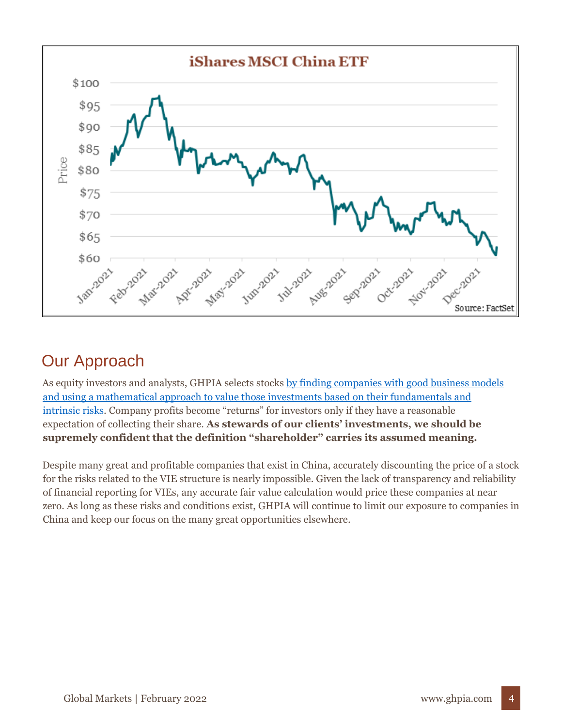

### Our Approach

As equity investors and analysts, GHPIA selects stocks [by finding companies with good business models](https://ghpia.com/how-ghpia-screens-stocks-for-your-portfolio/)  [and using a mathematical approach to value those investments based on their fundamentals and](https://ghpia.com/how-ghpia-screens-stocks-for-your-portfolio/) [intrinsic risks.](https://ghpia.com/how-ghpia-screens-stocks-for-your-portfolio/) Company profits become "returns" for investors only if they have a reasonable expectation of collecting their share. **As stewards of our clients' investments, we should be supremely confident that the definition "shareholder" carries its assumed meaning.**

Despite many great and profitable companies that exist in China, accurately discounting the price of a stock for the risks related to the VIE structure is nearly impossible. Given the lack of transparency and reliability of financial reporting for VIEs, any accurate fair value calculation would price these companies at near zero. As long as these risks and conditions exist, GHPIA will continue to limit our exposure to companies in China and keep our focus on the many great opportunities elsewhere.